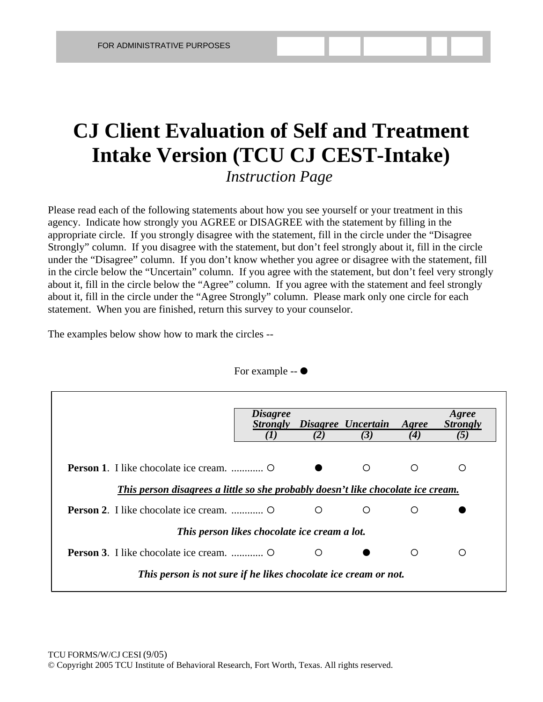## **CJ Client Evaluation of Self and Treatment Intake Version (TCU CJ CEST-Intake)** *Instruction Page*

Please read each of the following statements about how you see yourself or your treatment in this agency. Indicate how strongly you AGREE or DISAGREE with the statement by filling in the appropriate circle. If you strongly disagree with the statement, fill in the circle under the "Disagree Strongly" column. If you disagree with the statement, but don't feel strongly about it, fill in the circle under the "Disagree" column. If you don't know whether you agree or disagree with the statement, fill in the circle below the "Uncertain" column. If you agree with the statement, but don't feel very strongly about it, fill in the circle below the "Agree" column. If you agree with the statement and feel strongly about it, fill in the circle under the "Agree Strongly" column. Please mark only one circle for each statement. When you are finished, return this survey to your counselor.

The examples below show how to mark the circles --

|                                                                                  | <i>Disagree</i><br><i><b>Strongly</b></i><br>(1) | (2) | Disagree Uncertain<br>(3) | Agree<br>(4) | Agree<br><b>Strongly</b><br>(5) |  |  |
|----------------------------------------------------------------------------------|--------------------------------------------------|-----|---------------------------|--------------|---------------------------------|--|--|
| This person disagrees a little so she probably doesn't like chocolate ice cream. |                                                  |     | ∩                         | ∩            | O                               |  |  |
|                                                                                  |                                                  | O   | ◯                         | ∩            |                                 |  |  |
| This person likes chocolate ice cream a lot.                                     |                                                  |     |                           |              |                                 |  |  |
|                                                                                  |                                                  | ◯   |                           | ∩            | ∩                               |  |  |
| This person is not sure if he likes chocolate ice cream or not.                  |                                                  |     |                           |              |                                 |  |  |

For example  $\bullet$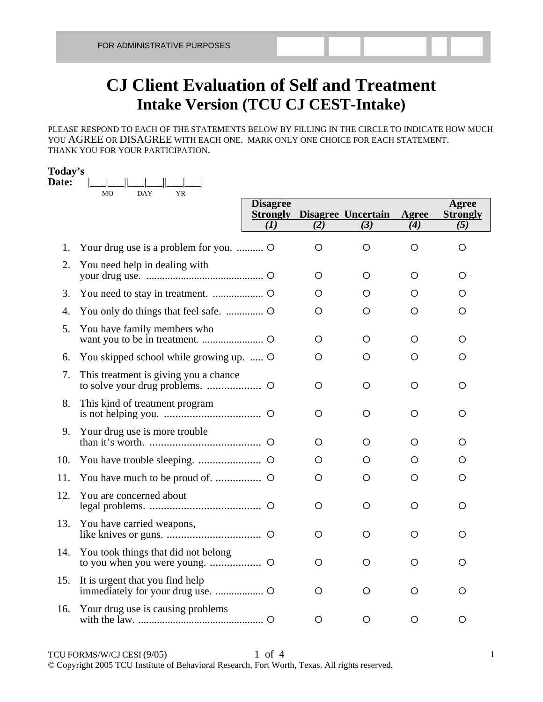## **CJ Client Evaluation of Self and Treatment Intake Version (TCU CJ CEST-Intake)**

PLEASE RESPOND TO EACH OF THE STATEMENTS BELOW BY FILLING IN THE CIRCLE TO INDICATE HOW MUCH YOU AGREE OR DISAGREE WITH EACH ONE. MARK ONLY ONE CHOICE FOR EACH STATEMENT. THANK YOU FOR YOUR PARTICIPATION.

## **Today's**

| Date: | <b>MO</b><br><b>DAY</b><br><b>YR</b>    |                        |         |                                           |              |                                 |
|-------|-----------------------------------------|------------------------|---------|-------------------------------------------|--------------|---------------------------------|
|       |                                         | <b>Disagree</b><br>(1) | (2)     | <b>Strongly Disagree Uncertain</b><br>(3) | Agree<br>(4) | Agree<br><b>Strongly</b><br>(5) |
| 1.    | Your drug use is a problem for you.     |                        | O       | O                                         | O            | O                               |
| 2.    | You need help in dealing with           |                        | O       | O                                         | O            | О                               |
| 3.    |                                         |                        | О       | O                                         | О            | О                               |
| 4.    |                                         |                        | О       | O                                         | О            | О                               |
| 5.    | You have family members who             |                        | O       | O                                         | O            | O                               |
| 6.    | You skipped school while growing up.  O |                        | O       | O                                         | O            | O                               |
| 7.    | This treatment is giving you a chance   |                        | O       | O                                         | O            | O                               |
| 8.    | This kind of treatment program          |                        | O       | O                                         | O            | О                               |
| 9.    | Your drug use is more trouble           |                        | O       | O                                         | O            | O                               |
| 10.   |                                         |                        | O       | O                                         | O            | O                               |
| 11.   |                                         |                        | O       | O                                         | O            | О                               |
| 12.   | You are concerned about                 |                        | $\circ$ | $\circ$                                   | $\circ$      | O                               |
| 13.   | You have carried weapons,               |                        | O       | O                                         | O            | О                               |
| 14.   | You took things that did not belong     |                        | O       | O                                         | O            | O                               |
| 15.   | It is urgent that you find help         |                        | O       | O                                         | O            | O                               |
| 16.   | Your drug use is causing problems       |                        | О       | O                                         | О            | Ο                               |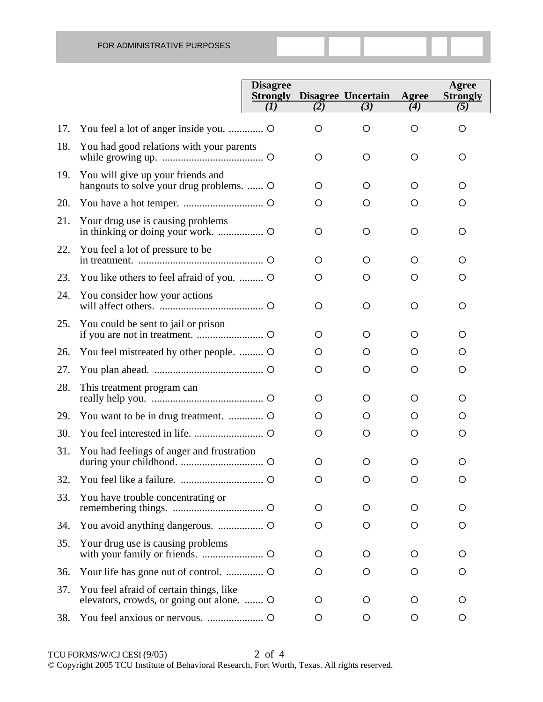|     |                                                                                      | <b>Disagree</b> |         | <b>Strongly Disagree Uncertain</b> | Agree   | Agree<br><b>Strongly</b> |
|-----|--------------------------------------------------------------------------------------|-----------------|---------|------------------------------------|---------|--------------------------|
|     |                                                                                      | (I)             | (2)     | (3)                                | (4)     | (5)                      |
| 17. | You feel a lot of anger inside you.  O                                               |                 | $\circ$ | O                                  | O       | O                        |
| 18. | You had good relations with your parents                                             |                 | $\circ$ | O                                  | $\circ$ | O                        |
| 19. | You will give up your friends and<br>hangouts to solve your drug problems.  O        |                 | O       | O                                  | O       | O                        |
| 20. |                                                                                      |                 | $\circ$ | O                                  | O       | O                        |
| 21. | Your drug use is causing problems                                                    |                 | $\circ$ | O                                  | $\circ$ | O                        |
| 22. | You feel a lot of pressure to be                                                     |                 | $\circ$ | O                                  | O       | O                        |
| 23. | You like others to feel afraid of you.  O                                            |                 | $\circ$ | O                                  | O       | O                        |
| 24. | You consider how your actions                                                        |                 | O       | O                                  | O       | O                        |
| 25. | You could be sent to jail or prison                                                  |                 | O       | O                                  | $\circ$ | O                        |
| 26. | You feel mistreated by other people.  O                                              |                 | O       | O                                  | O       | O                        |
| 27. |                                                                                      |                 | O       | O                                  | O       | O                        |
| 28. | This treatment program can                                                           |                 | O       | O                                  | O       | O                        |
| 29. |                                                                                      |                 | O       | O                                  | O       | O                        |
| 30. |                                                                                      |                 | O       | O                                  | O       | O                        |
| 31. | You had feelings of anger and frustration                                            |                 | $\circ$ | O                                  | O       | Ő                        |
| 32. |                                                                                      |                 | O       | O                                  | O       | O                        |
| 33. | You have trouble concentrating or                                                    |                 | O       | O                                  | O       | O                        |
| 34. |                                                                                      |                 | O       | O                                  | $\circ$ | O                        |
| 35. | Your drug use is causing problems                                                    |                 | $\circ$ | O                                  | $\circ$ | O                        |
| 36. | Your life has gone out of control.  O                                                |                 | O       | O                                  | O       | O                        |
| 37. | You feel afraid of certain things, like<br>elevators, crowds, or going out alone.  O |                 | $\circ$ | O                                  | $\circ$ | O                        |
| 38. |                                                                                      |                 | O       | O                                  | O       | $\circ$                  |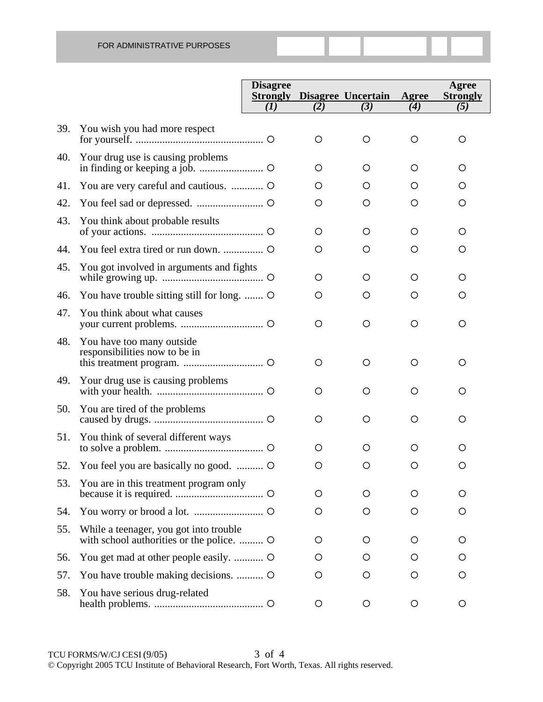|     |                                                                                     | <b>Disagree</b> |         | <b>Strongly Disagree Uncertain</b> | Agree | Agree<br><b>Strongly</b> |
|-----|-------------------------------------------------------------------------------------|-----------------|---------|------------------------------------|-------|--------------------------|
|     |                                                                                     | (1)             | (2)     | (3)                                | (4)   | (5)                      |
| 39. | You wish you had more respect                                                       |                 | O       | $\circ$                            | O     | O                        |
| 40. | Your drug use is causing problems                                                   |                 | O       | O                                  | O     | O                        |
| 41. |                                                                                     |                 | O       | O                                  | O     | O                        |
| 42. |                                                                                     |                 | O       | $\circ$                            | O     | O                        |
| 43. | You think about probable results                                                    |                 | O       | O                                  | O     | O                        |
| 44. |                                                                                     |                 | O       | O                                  | O     | O                        |
| 45. | You got involved in arguments and fights                                            |                 | O       | O                                  | О     | Ο                        |
| 46. | You have trouble sitting still for long.                                            |                 | O       | O                                  | O     | O                        |
| 47. | You think about what causes                                                         |                 | $\circ$ | $\circ$                            | O     | O                        |
| 48. | You have too many outside<br>responsibilities now to be in                          |                 | O       | $\circ$                            | O     | O                        |
| 49. | Your drug use is causing problems                                                   |                 | O       | O                                  | O     | O                        |
| 50. | You are tired of the problems                                                       |                 | O       | $\circ$                            | O     | O                        |
| 51. | You think of several different ways                                                 |                 | O       | O                                  | O     | O                        |
| 52. | You feel you are basically no good.                                                 |                 | O       | O                                  | Ő     | O                        |
| 53. | You are in this treatment program only                                              |                 | O       | $\circ$                            | O     | O                        |
| 54. |                                                                                     |                 | O       | $\circ$                            | O     | $\circ$                  |
| 55. | While a teenager, you got into trouble<br>with school authorities or the police.  O |                 | O       | O                                  | O     | $\circ$                  |
| 56. |                                                                                     |                 | O       | O                                  | O     | O                        |
| 57. | You have trouble making decisions.                                                  |                 | O       | $\circ$                            | O     | O                        |
| 58. | You have serious drug-related                                                       |                 | O       | O                                  | O     | O                        |